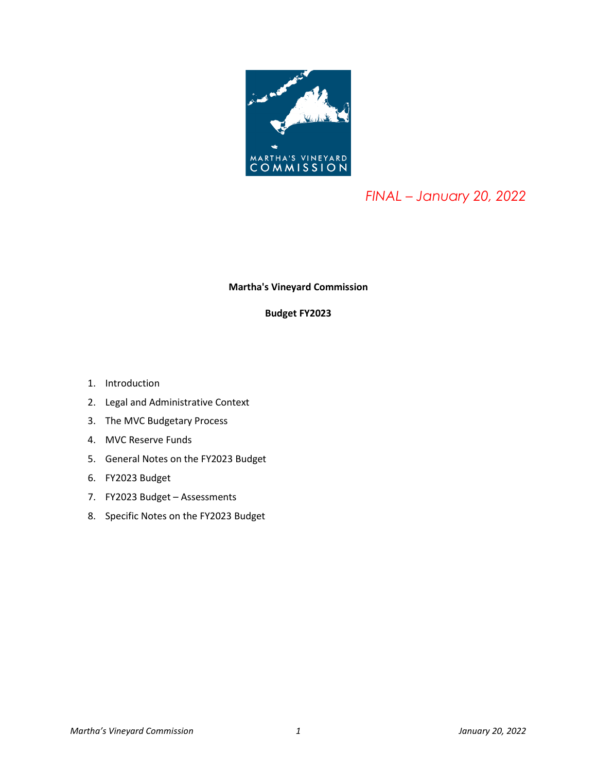

# *FINAL – January 20, 2022*

## **Martha's Vineyard Commission**

# **Budget FY2023**

- 1. Introduction
- 2. Legal and Administrative Context
- 3. The MVC Budgetary Process
- 4. MVC Reserve Funds
- 5. General Notes on the FY2023 Budget
- 6. FY2023 Budget
- 7. FY2023 Budget Assessments
- 8. Specific Notes on the FY2023 Budget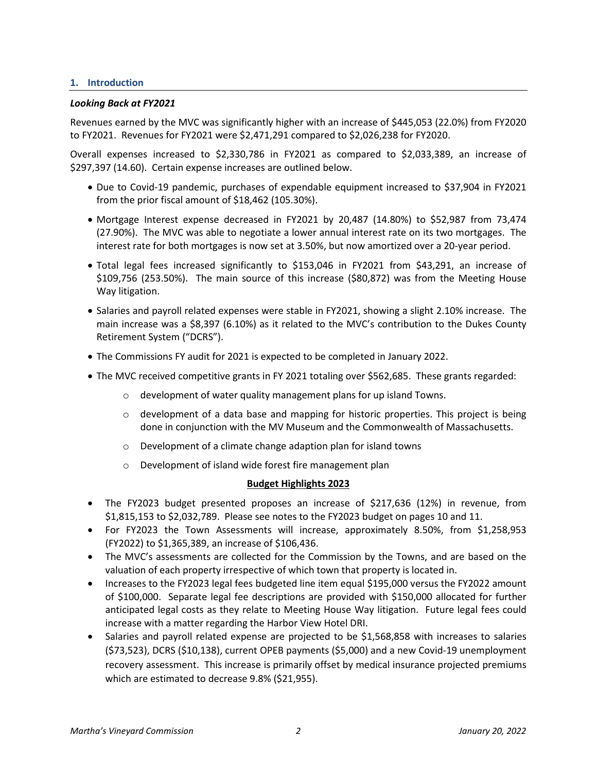#### **1. Introduction**

#### *Looking Back at FY2021*

Revenues earned by the MVC was significantly higher with an increase of \$445,053 (22.0%) from FY2020 to FY2021. Revenues for FY2021 were \$2,471,291 compared to \$2,026,238 for FY2020.

Overall expenses increased to \$2,330,786 in FY2021 as compared to \$2,033,389, an increase of \$297,397 (14.60). Certain expense increases are outlined below.

- Due to Covid-19 pandemic, purchases of expendable equipment increased to \$37,904 in FY2021 from the prior fiscal amount of \$18,462 (105.30%).
- Mortgage Interest expense decreased in FY2021 by 20,487 (14.80%) to \$52,987 from 73,474 (27.90%). The MVC was able to negotiate a lower annual interest rate on its two mortgages. The interest rate for both mortgages is now set at 3.50%, but now amortized over a 20-year period.
- Total legal fees increased significantly to \$153,046 in FY2021 from \$43,291, an increase of \$109,756 (253.50%). The main source of this increase (\$80,872) was from the Meeting House Way litigation.
- Salaries and payroll related expenses were stable in FY2021, showing a slight 2.10% increase. The main increase was a \$8,397 (6.10%) as it related to the MVC's contribution to the Dukes County Retirement System ("DCRS").
- The Commissions FY audit for 2021 is expected to be completed in January 2022.
- The MVC received competitive grants in FY 2021 totaling over \$562,685. These grants regarded:
	- o development of water quality management plans for up island Towns.
	- $\circ$  development of a data base and mapping for historic properties. This project is being done in conjunction with the MV Museum and the Commonwealth of Massachusetts.
	- o Development of a climate change adaption plan for island towns
	- o Development of island wide forest fire management plan

#### **Budget Highlights 2023**

- The FY2023 budget presented proposes an increase of \$217,636 (12%) in revenue, from \$1,815,153 to \$2,032,789. Please see notes to the FY2023 budget on pages 10 and 11.
- For FY2023 the Town Assessments will increase, approximately 8.50%, from \$1,258,953 (FY2022) to \$1,365,389, an increase of \$106,436.
- The MVC's assessments are collected for the Commission by the Towns, and are based on the valuation of each property irrespective of which town that property is located in.
- Increases to the FY2023 legal fees budgeted line item equal \$195,000 versus the FY2022 amount of \$100,000. Separate legal fee descriptions are provided with \$150,000 allocated for further anticipated legal costs as they relate to Meeting House Way litigation. Future legal fees could increase with a matter regarding the Harbor View Hotel DRI.
- Salaries and payroll related expense are projected to be \$1,568,858 with increases to salaries (\$73,523), DCRS (\$10,138), current OPEB payments (\$5,000) and a new Covid-19 unemployment recovery assessment. This increase is primarily offset by medical insurance projected premiums which are estimated to decrease 9.8% (\$21,955).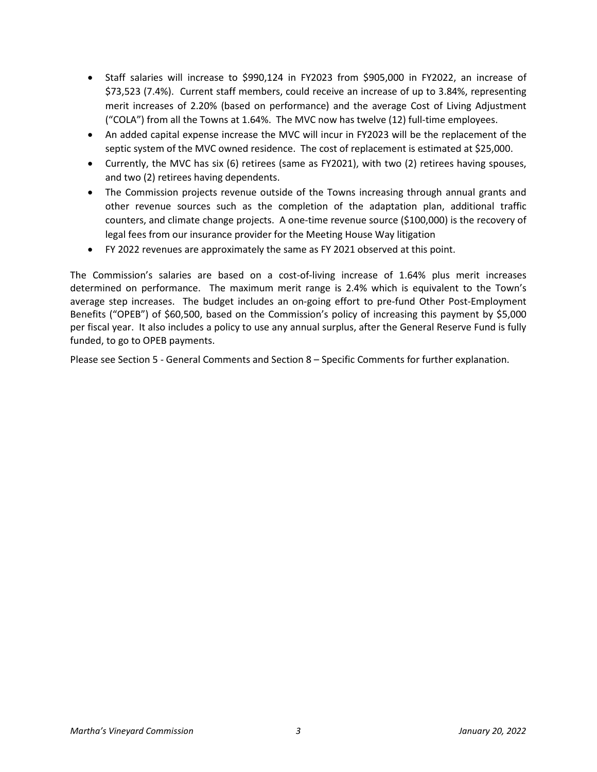- Staff salaries will increase to \$990,124 in FY2023 from \$905,000 in FY2022, an increase of \$73,523 (7.4%). Current staff members, could receive an increase of up to 3.84%, representing merit increases of 2.20% (based on performance) and the average Cost of Living Adjustment ("COLA") from all the Towns at 1.64%. The MVC now has twelve (12) full-time employees.
- An added capital expense increase the MVC will incur in FY2023 will be the replacement of the septic system of the MVC owned residence. The cost of replacement is estimated at \$25,000.
- Currently, the MVC has six (6) retirees (same as FY2021), with two (2) retirees having spouses, and two (2) retirees having dependents.
- The Commission projects revenue outside of the Towns increasing through annual grants and other revenue sources such as the completion of the adaptation plan, additional traffic counters, and climate change projects. A one-time revenue source (\$100,000) is the recovery of legal fees from our insurance provider for the Meeting House Way litigation
- FY 2022 revenues are approximately the same as FY 2021 observed at this point.

The Commission's salaries are based on a cost-of-living increase of 1.64% plus merit increases determined on performance. The maximum merit range is 2.4% which is equivalent to the Town's average step increases. The budget includes an on-going effort to pre-fund Other Post-Employment Benefits ("OPEB") of \$60,500, based on the Commission's policy of increasing this payment by \$5,000 per fiscal year. It also includes a policy to use any annual surplus, after the General Reserve Fund is fully funded, to go to OPEB payments.

Please see Section 5 - General Comments and Section 8 – Specific Comments for further explanation.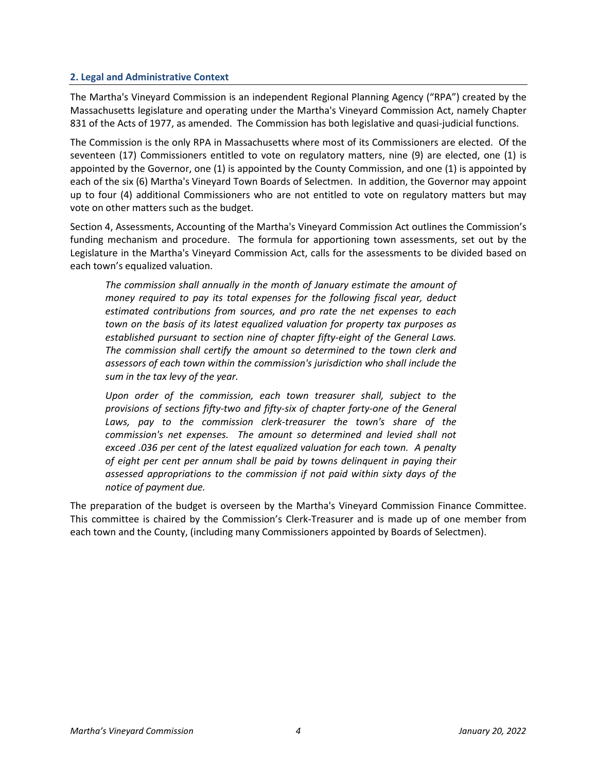#### **2. Legal and Administrative Context**

The Martha's Vineyard Commission is an independent Regional Planning Agency ("RPA") created by the Massachusetts legislature and operating under the Martha's Vineyard Commission Act, namely Chapter 831 of the Acts of 1977, as amended. The Commission has both legislative and quasi-judicial functions.

The Commission is the only RPA in Massachusetts where most of its Commissioners are elected. Of the seventeen (17) Commissioners entitled to vote on regulatory matters, nine (9) are elected, one (1) is appointed by the Governor, one (1) is appointed by the County Commission, and one (1) is appointed by each of the six (6) Martha's Vineyard Town Boards of Selectmen. In addition, the Governor may appoint up to four (4) additional Commissioners who are not entitled to vote on regulatory matters but may vote on other matters such as the budget.

Section 4, Assessments, Accounting of the Martha's Vineyard Commission Act outlines the Commission's funding mechanism and procedure.The formula for apportioning town assessments, set out by the Legislature in the Martha's Vineyard Commission Act, calls for the assessments to be divided based on each town's equalized valuation.

*The commission shall annually in the month of January estimate the amount of money required to pay its total expenses for the following fiscal year, deduct estimated contributions from sources, and pro rate the net expenses to each town on the basis of its latest equalized valuation for property tax purposes as established pursuant to section nine of chapter fifty-eight of the General Laws. The commission shall certify the amount so determined to the town clerk and assessors of each town within the commission's jurisdiction who shall include the sum in the tax levy of the year.*

*Upon order of the commission, each town treasurer shall, subject to the provisions of sections fifty-two and fifty-six of chapter forty-one of the General*  Laws, pay to the commission clerk-treasurer the town's share of the *commission's net expenses. The amount so determined and levied shall not exceed .036 per cent of the latest equalized valuation for each town. A penalty of eight per cent per annum shall be paid by towns delinquent in paying their assessed appropriations to the commission if not paid within sixty days of the notice of payment due.*

The preparation of the budget is overseen by the Martha's Vineyard Commission Finance Committee. This committee is chaired by the Commission's Clerk-Treasurer and is made up of one member from each town and the County, (including many Commissioners appointed by Boards of Selectmen).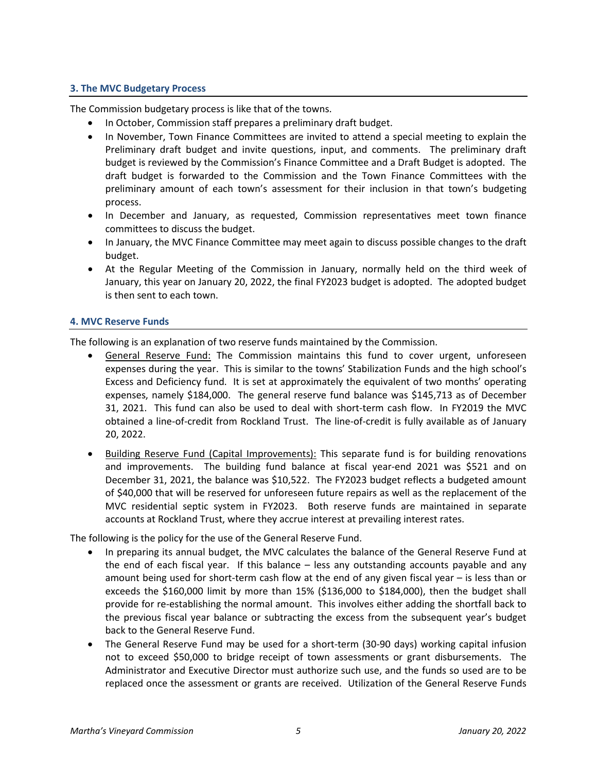## **3. The MVC Budgetary Process**

The Commission budgetary process is like that of the towns.

- In October, Commission staff prepares a preliminary draft budget.
- In November, Town Finance Committees are invited to attend a special meeting to explain the Preliminary draft budget and invite questions, input, and comments. The preliminary draft budget is reviewed by the Commission's Finance Committee and a Draft Budget is adopted. The draft budget is forwarded to the Commission and the Town Finance Committees with the preliminary amount of each town's assessment for their inclusion in that town's budgeting process.
- In December and January, as requested, Commission representatives meet town finance committees to discuss the budget.
- In January, the MVC Finance Committee may meet again to discuss possible changes to the draft budget.
- At the Regular Meeting of the Commission in January, normally held on the third week of January, this year on January 20, 2022, the final FY2023 budget is adopted. The adopted budget is then sent to each town.

#### **4. MVC Reserve Funds**

The following is an explanation of two reserve funds maintained by the Commission.

- General Reserve Fund: The Commission maintains this fund to cover urgent, unforeseen expenses during the year. This is similar to the towns' Stabilization Funds and the high school's Excess and Deficiency fund. It is set at approximately the equivalent of two months' operating expenses, namely \$184,000. The general reserve fund balance was \$145,713 as of December 31, 2021. This fund can also be used to deal with short-term cash flow. In FY2019 the MVC obtained a line-of-credit from Rockland Trust. The line-of-credit is fully available as of January 20, 2022.
- Building Reserve Fund (Capital Improvements): This separate fund is for building renovations and improvements. The building fund balance at fiscal year-end 2021 was \$521 and on December 31, 2021, the balance was \$10,522. The FY2023 budget reflects a budgeted amount of \$40,000 that will be reserved for unforeseen future repairs as well as the replacement of the MVC residential septic system in FY2023. Both reserve funds are maintained in separate accounts at Rockland Trust, where they accrue interest at prevailing interest rates.

The following is the policy for the use of the General Reserve Fund.

- In preparing its annual budget, the MVC calculates the balance of the General Reserve Fund at the end of each fiscal year. If this balance – less any outstanding accounts payable and any amount being used for short-term cash flow at the end of any given fiscal year – is less than or exceeds the \$160,000 limit by more than 15% (\$136,000 to \$184,000), then the budget shall provide for re-establishing the normal amount. This involves either adding the shortfall back to the previous fiscal year balance or subtracting the excess from the subsequent year's budget back to the General Reserve Fund.
- The General Reserve Fund may be used for a short-term (30-90 days) working capital infusion not to exceed \$50,000 to bridge receipt of town assessments or grant disbursements. The Administrator and Executive Director must authorize such use, and the funds so used are to be replaced once the assessment or grants are received. Utilization of the General Reserve Funds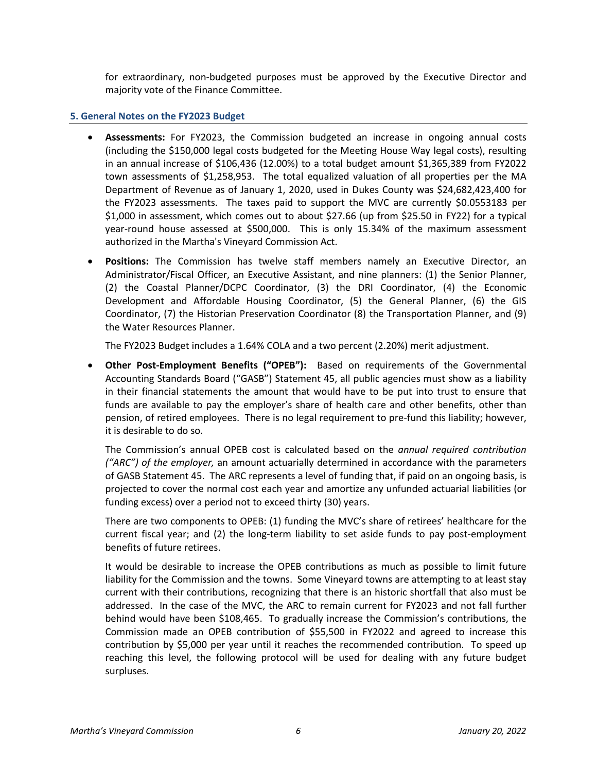for extraordinary, non-budgeted purposes must be approved by the Executive Director and majority vote of the Finance Committee.

#### **5. General Notes on the FY2023 Budget**

- **Assessments:** For FY2023, the Commission budgeted an increase in ongoing annual costs (including the \$150,000 legal costs budgeted for the Meeting House Way legal costs), resulting in an annual increase of \$106,436 (12.00%) to a total budget amount \$1,365,389 from FY2022 town assessments of \$1,258,953. The total equalized valuation of all properties per the MA Department of Revenue as of January 1, 2020, used in Dukes County was \$24,682,423,400 for the FY2023 assessments. The taxes paid to support the MVC are currently \$0.0553183 per \$1,000 in assessment, which comes out to about \$27.66 (up from \$25.50 in FY22) for a typical year-round house assessed at \$500,000. This is only 15.34% of the maximum assessment authorized in the Martha's Vineyard Commission Act.
- **Positions:** The Commission has twelve staff members namely an Executive Director, an Administrator/Fiscal Officer, an Executive Assistant, and nine planners: (1) the Senior Planner, (2) the Coastal Planner/DCPC Coordinator, (3) the DRI Coordinator, (4) the Economic Development and Affordable Housing Coordinator, (5) the General Planner, (6) the GIS Coordinator, (7) the Historian Preservation Coordinator (8) the Transportation Planner, and (9) the Water Resources Planner.

The FY2023 Budget includes a 1.64% COLA and a two percent (2.20%) merit adjustment.

• **Other Post-Employment Benefits ("OPEB"):** Based on requirements of the Governmental Accounting Standards Board ("GASB") Statement 45, all public agencies must show as a liability in their financial statements the amount that would have to be put into trust to ensure that funds are available to pay the employer's share of health care and other benefits, other than pension, of retired employees. There is no legal requirement to pre-fund this liability; however, it is desirable to do so.

The Commission's annual OPEB cost is calculated based on the *annual required contribution ("ARC") of the employer,* an amount actuarially determined in accordance with the parameters of GASB Statement 45. The ARC represents a level of funding that, if paid on an ongoing basis, is projected to cover the normal cost each year and amortize any unfunded actuarial liabilities (or funding excess) over a period not to exceed thirty (30) years.

There are two components to OPEB: (1) funding the MVC's share of retirees' healthcare for the current fiscal year; and (2) the long-term liability to set aside funds to pay post-employment benefits of future retirees.

It would be desirable to increase the OPEB contributions as much as possible to limit future liability for the Commission and the towns. Some Vineyard towns are attempting to at least stay current with their contributions, recognizing that there is an historic shortfall that also must be addressed. In the case of the MVC, the ARC to remain current for FY2023 and not fall further behind would have been \$108,465. To gradually increase the Commission's contributions, the Commission made an OPEB contribution of \$55,500 in FY2022 and agreed to increase this contribution by \$5,000 per year until it reaches the recommended contribution. To speed up reaching this level, the following protocol will be used for dealing with any future budget surpluses.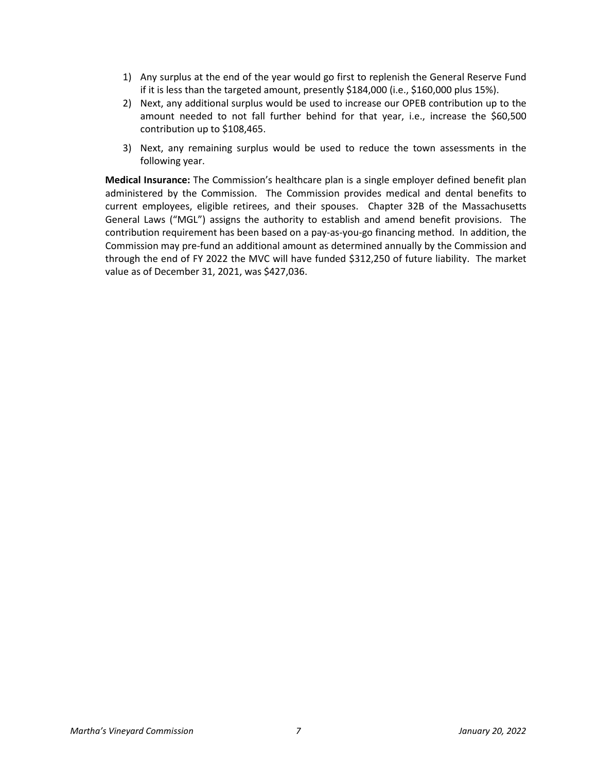- 1) Any surplus at the end of the year would go first to replenish the General Reserve Fund if it is less than the targeted amount, presently \$184,000 (i.e., \$160,000 plus 15%).
- 2) Next, any additional surplus would be used to increase our OPEB contribution up to the amount needed to not fall further behind for that year, i.e., increase the \$60,500 contribution up to \$108,465.
- 3) Next, any remaining surplus would be used to reduce the town assessments in the following year.

**Medical Insurance:** The Commission's healthcare plan is a single employer defined benefit plan administered by the Commission. The Commission provides medical and dental benefits to current employees, eligible retirees, and their spouses. Chapter 32B of the Massachusetts General Laws ("MGL") assigns the authority to establish and amend benefit provisions. The contribution requirement has been based on a pay-as-you-go financing method. In addition, the Commission may pre-fund an additional amount as determined annually by the Commission and through the end of FY 2022 the MVC will have funded \$312,250 of future liability. The market value as of December 31, 2021, was \$427,036.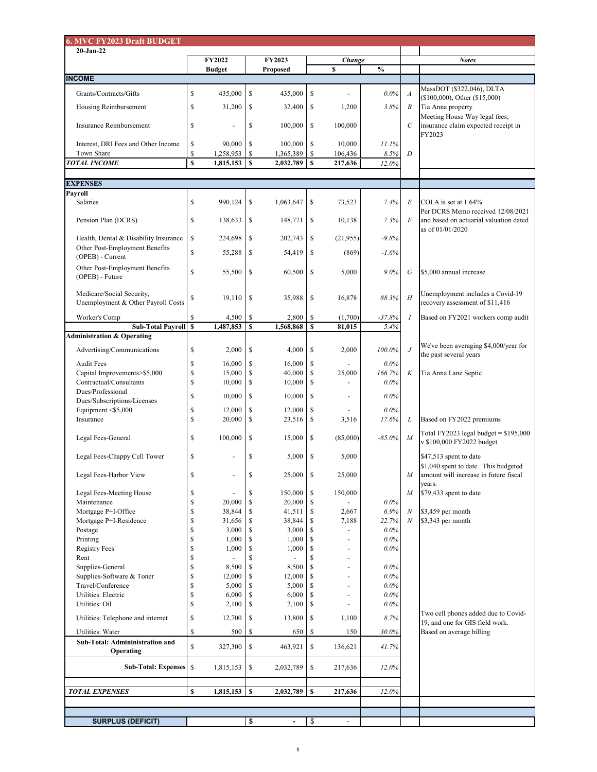| <b>6. MVC FY2023 Draft BUDGET</b>                                    |              |                                |                           |                                  |                                                        |                    |                    |                  |                                                                               |  |  |  |
|----------------------------------------------------------------------|--------------|--------------------------------|---------------------------|----------------------------------|--------------------------------------------------------|--------------------|--------------------|------------------|-------------------------------------------------------------------------------|--|--|--|
| $20-Jan-22$                                                          |              |                                |                           |                                  |                                                        |                    |                    |                  |                                                                               |  |  |  |
|                                                                      |              | <b>FY2022</b><br><b>Budget</b> |                           | <b>FY2023</b><br><b>Proposed</b> |                                                        | Change<br>\$       | $\frac{6}{6}$      |                  | <b>Notes</b>                                                                  |  |  |  |
| <b>INCOME</b>                                                        |              |                                |                           |                                  |                                                        |                    |                    |                  |                                                                               |  |  |  |
| Grants/Contracts/Gifts                                               | \$           | 435,000                        | $\mathcal{S}$             | 435,000                          | $\boldsymbol{\mathsf{S}}$                              |                    | $0.0\%$            | $\boldsymbol{A}$ | MassDOT (\$322,046), DLTA                                                     |  |  |  |
|                                                                      |              |                                |                           |                                  |                                                        |                    |                    |                  | $($100,000)$ , Other $($15,000)$                                              |  |  |  |
| Housing Reimbursement                                                | \$           | 31,200                         | $\boldsymbol{\mathsf{S}}$ | 32,400                           | $\boldsymbol{\mathsf{S}}$                              | 1,200              | 3.8%               | $\boldsymbol{B}$ | Tia Anna property<br>Meeting House Way legal fees;                            |  |  |  |
| <b>Insurance Reimbursement</b>                                       | \$           | $\blacksquare$                 | $\boldsymbol{\mathsf{S}}$ | 100,000                          | $\boldsymbol{\mathsf{S}}$                              | 100,000            |                    | $\mathcal{C}$    | insurance claim expected receipt in                                           |  |  |  |
|                                                                      |              |                                |                           |                                  |                                                        |                    |                    |                  | FY2023                                                                        |  |  |  |
| Interest, DRI Fees and Other Income                                  | \$           | 90,000                         | $\mathcal{S}$             | 100,000                          | $\mathbb{S}$                                           | 10,000             | 11.1%              |                  |                                                                               |  |  |  |
| Town Share<br><b>TOTAL INCOME</b>                                    | \$<br>\$     | 1,258,953<br>$1,815,153$   \$  | -\$                       | 1,365,389<br>2,032,789           | $\mathcal{S}$<br>$\mathbf{\$}$                         | 106,436<br>217,636 | 8.5%<br>12.0%      | $\boldsymbol{D}$ |                                                                               |  |  |  |
|                                                                      |              |                                |                           |                                  |                                                        |                    |                    |                  |                                                                               |  |  |  |
| <b>EXPENSES</b>                                                      |              |                                |                           |                                  |                                                        |                    |                    |                  |                                                                               |  |  |  |
| <b>Payroll</b>                                                       |              |                                |                           |                                  |                                                        |                    |                    |                  |                                                                               |  |  |  |
| Salaries                                                             | \$           | 990,124                        | $\boldsymbol{\mathsf{S}}$ | 1,063,647                        | $\boldsymbol{\mathsf{S}}$                              | 73,523             | 7.4%               | $E_{\rm}$        | COLA is set at 1.64%                                                          |  |  |  |
| Pension Plan (DCRS)                                                  | \$           | 138,633                        | $\boldsymbol{\mathsf{S}}$ | 148,771                          | $\boldsymbol{\mathsf{S}}$                              | 10,138             | 7.3%               | $\overline{F}$   | Per DCRS Memo received 12/08/2021<br>and based on actuarial valuation dated   |  |  |  |
|                                                                      |              |                                |                           |                                  |                                                        |                    |                    |                  | as of 01/01/2020                                                              |  |  |  |
| Health, Dental & Disability Insurance                                | $\mathbb{S}$ | 224,698                        | $\mathbb{S}$              | 202,743                          | $\boldsymbol{\mathsf{S}}$                              | (21,955)           | $-9.8%$            |                  |                                                                               |  |  |  |
| Other Post-Employment Benefits                                       | \$           | 55,288                         | $\boldsymbol{\mathsf{S}}$ | 54,419                           | $\boldsymbol{\mathsf{S}}$                              | (869)              | $-1.6%$            |                  |                                                                               |  |  |  |
| (OPEB) - Current                                                     |              |                                |                           |                                  |                                                        |                    |                    |                  |                                                                               |  |  |  |
| Other Post-Employment Benefits<br>(OPEB) - Future                    | \$           | 55,500                         | $\boldsymbol{\mathsf{S}}$ | 60,500                           | $\boldsymbol{\mathsf{S}}$                              | 5,000              | $9.0\%$            | $\,G\,$          | \$5,000 annual increase                                                       |  |  |  |
|                                                                      |              |                                |                           |                                  |                                                        |                    |                    |                  |                                                                               |  |  |  |
| Medicare/Social Security,<br>Unemployment & Other Payroll Costs      | P            | $19,110$   \$                  |                           | 35,988                           | $\boldsymbol{\mathsf{S}}$                              | 16,878             | 88.3%              | H                | Unemployment includes a Covid-19                                              |  |  |  |
|                                                                      |              |                                |                           |                                  |                                                        |                    |                    |                  | recovery assessment of \$11,416                                               |  |  |  |
| Worker's Comp                                                        | $\mathbb{S}$ | 4,500                          | $\mathbb{S}$              | 2,800                            | $\mathcal{S}$                                          | (1,700)            | $-37.8%$           |                  | Based on FY2021 workers comp audit                                            |  |  |  |
| <b>Sub-Total Payroll \$</b><br><b>Administration &amp; Operating</b> |              | 1,487,853                      | $\mathbf S$               | 1,568,868                        | $\boldsymbol{\mathsf{S}}$                              | 81,015             | 5.4%               |                  |                                                                               |  |  |  |
|                                                                      |              |                                |                           |                                  |                                                        |                    |                    |                  | We've been averaging \$4,000/year for                                         |  |  |  |
| Advertising/Communications                                           | \$           | 2,000                          | $\mathcal{S}$             | 4,000                            | $\boldsymbol{\mathsf{S}}$                              | 2,000              | $100.0\%$          |                  | the past several years                                                        |  |  |  |
| <b>Audit Fees</b>                                                    |              | 16,000                         | <sup>\$</sup>             | 16,000                           | $\boldsymbol{\mathsf{S}}$                              |                    | $0.0\%$            |                  |                                                                               |  |  |  |
| Capital Improvements>\$5,000<br>Contractual/Consultants              | \$<br>\$     | 15,000<br>10,000               | -S<br>-S                  | 40,000<br>10,000                 | $\boldsymbol{\mathsf{S}}$<br>$\boldsymbol{\mathsf{S}}$ | 25,000             | 166.7%<br>$0.0\%$  | K                | Tia Anna Lane Septic                                                          |  |  |  |
| Dues/Professional                                                    |              |                                |                           |                                  |                                                        |                    |                    |                  |                                                                               |  |  |  |
| Dues/Subscriptions/Licenses                                          | \$           | 10,000                         | $\boldsymbol{\mathsf{S}}$ | 10,000                           | $\boldsymbol{\mathsf{S}}$                              |                    | $0.0\%$            |                  |                                                                               |  |  |  |
| Equipment $\leq$ \$5,000                                             |              | 12,000                         | \$                        | 12,000                           | $\mathcal{S}$                                          |                    | 0.0%               |                  |                                                                               |  |  |  |
| Insurance                                                            | \$           | 20,000                         | -S                        | 23,516                           | <sup>\$</sup>                                          | 3,516              | 17.6%              | L                | Based on FY2022 premiums                                                      |  |  |  |
| Legal Fees-General                                                   | \$           | 100,000                        | $\boldsymbol{\mathsf{S}}$ | 15,000                           | $\boldsymbol{\mathsf{S}}$                              | (85,000)           | $-85.0\%$          | M                | Total FY2023 legal budget = $$195,000$                                        |  |  |  |
|                                                                      |              |                                |                           |                                  |                                                        |                    |                    |                  | v \$100,000 FY2022 budget                                                     |  |  |  |
| Legal Fees-Chappy Cell Tower                                         | \$           |                                | S                         | 5,000                            | $\boldsymbol{\mathsf{S}}$                              | 5,000              |                    |                  | $$47,513$ spent to date                                                       |  |  |  |
| Legal Fees-Harbor View                                               | \$           |                                | $\mathbb{S}$              | 25,000                           | $\boldsymbol{\mathsf{S}}$                              | 25,000             |                    | M                | \$1,040 spent to date. This budgeted<br>amount will increase in future fiscal |  |  |  |
|                                                                      |              |                                |                           |                                  |                                                        |                    |                    |                  | years.                                                                        |  |  |  |
| Legal Fees-Meeting House                                             | S            |                                | S                         | 150,000                          | $\boldsymbol{\mathsf{S}}$                              | 150,000            |                    | M                | $$79,433$ spent to date                                                       |  |  |  |
| Maintenance                                                          |              | 20,000                         | $\mathcal{S}$             | 20,000                           | $\boldsymbol{\mathsf{S}}$                              |                    | $0.0\%$            |                  |                                                                               |  |  |  |
| Mortgage P+I-Office                                                  |              | 38,844                         |                           | 41,511                           | $\boldsymbol{\mathsf{S}}$                              | 2,667              | 6.9%               | N                | \$3,459 per month                                                             |  |  |  |
| Mortgage P+I-Residence                                               |              | 31,656                         | -S                        | 38,844                           | $\mathbb{S}$                                           | 7,188              | 22.7%              | $\overline{N}$   | $$3,343$ per month                                                            |  |  |  |
| Postage                                                              |              | 3,000                          |                           | 3,000                            |                                                        |                    | $0.0\%$            |                  |                                                                               |  |  |  |
| Printing                                                             |              | 1,000                          |                           | 1,000                            |                                                        |                    | $0.0\%$            |                  |                                                                               |  |  |  |
| <b>Registry Fees</b>                                                 |              | 1,000                          |                           | 1,000                            |                                                        |                    | $0.0\%$            |                  |                                                                               |  |  |  |
| Rent                                                                 |              |                                | Ψ                         |                                  |                                                        |                    |                    |                  |                                                                               |  |  |  |
| Supplies-General                                                     | \$           | 8,500                          |                           | 8,500                            | $\mathcal{S}$                                          |                    | $0.0\%$            |                  |                                                                               |  |  |  |
| Supplies-Software & Toner<br>Travel/Conference                       |              | 12,000                         |                           | 12,000                           |                                                        |                    | $0.0\%$<br>0.0%    |                  |                                                                               |  |  |  |
| <b>Utilities: Electric</b>                                           |              | 5,000                          |                           | 5,000                            |                                                        |                    |                    |                  |                                                                               |  |  |  |
| <b>Utilities: Oil</b>                                                | S<br>\$      | 6,000<br>2,100                 |                           | 6,000<br>2,100                   | -S                                                     |                    | $0.0\%$<br>$0.0\%$ |                  |                                                                               |  |  |  |
|                                                                      |              |                                |                           |                                  |                                                        |                    |                    |                  | Two cell phones added due to Covid-                                           |  |  |  |
| Utilities: Telephone and internet                                    | \$           | 12,700                         | $\mathcal{S}$             | 13,800                           | $\boldsymbol{\mathsf{S}}$                              | 1,100              | 8.7%               |                  | 19, and one for GIS field work.                                               |  |  |  |
| <b>Utilities: Water</b>                                              | \$           | 500                            | \$                        | 650                              | $\boldsymbol{\mathsf{S}}$                              | 150                | 30.0%              |                  | Based on average billing                                                      |  |  |  |
| <b>Sub-Total: Admininistration and</b>                               | \$           | 327,300                        | $\mathcal{S}$             | 463,921                          | $\mathbb{S}$                                           | 136,621            | 41.7%              |                  |                                                                               |  |  |  |
| Operating                                                            |              |                                |                           |                                  |                                                        |                    |                    |                  |                                                                               |  |  |  |
| <b>Sub-Total: Expenses</b> \$                                        |              | 1,815,153                      | $\mathcal{S}$             | 2,032,789                        | $\mathbb{S}$                                           | 217,636            | 12.0%              |                  |                                                                               |  |  |  |
|                                                                      |              |                                |                           |                                  |                                                        |                    |                    |                  |                                                                               |  |  |  |
| <b>TOTAL EXPENSES</b>                                                | $\mathbf S$  | 1,815,153                      | $\mathbf S$               | 2,032,789                        | $\mathbb{S}$                                           | 217,636            | 12.0%              |                  |                                                                               |  |  |  |
|                                                                      |              |                                |                           |                                  |                                                        |                    |                    |                  |                                                                               |  |  |  |
|                                                                      |              |                                |                           |                                  |                                                        |                    |                    |                  |                                                                               |  |  |  |
| <b>SURPLUS (DEFICIT)</b>                                             |              |                                | \$                        | $\blacksquare$                   | $\boldsymbol{\mathsf{\$}}$                             | $\blacksquare$     |                    |                  |                                                                               |  |  |  |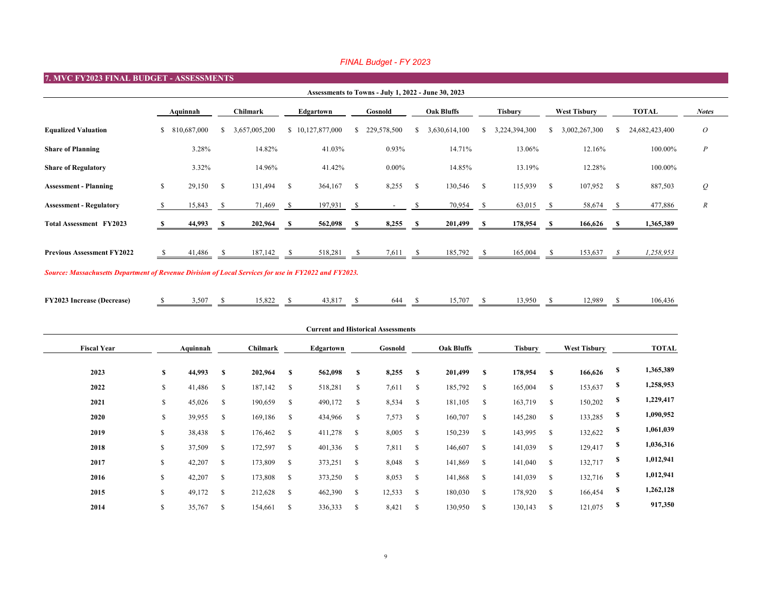| <b>FY2023 Increase (Decrease)</b> | , 507 | $\Omega$<br>$. \cup .02$ | 12.017<br>43,81 |  | $=$ $ -$<br>$\sim$ . | .<br>. . u<br>``<br><u>.</u> | '2.989 | $\sqrt{2}$<br>44 M<br>l I It<br>, |
|-----------------------------------|-------|--------------------------|-----------------|--|----------------------|------------------------------|--------|-----------------------------------|
|                                   |       |                          |                 |  |                      |                              |        |                                   |

| 7. MVC FY2023 FINAL BUDGET - ASSESSMENTS                                                             |              |             |                 |               |               |                  |              |                                                     |                   |               |              |                |               |                     |               |                |                  |
|------------------------------------------------------------------------------------------------------|--------------|-------------|-----------------|---------------|---------------|------------------|--------------|-----------------------------------------------------|-------------------|---------------|--------------|----------------|---------------|---------------------|---------------|----------------|------------------|
|                                                                                                      |              |             |                 |               |               |                  |              | Assessments to Towns - July 1, 2022 - June 30, 2023 |                   |               |              |                |               |                     |               |                |                  |
|                                                                                                      |              | Aquinnah    | <b>Chilmark</b> |               | Edgartown     |                  | Gosnold      |                                                     | <b>Oak Bluffs</b> |               |              | <b>Tisbury</b> |               | <b>West Tisbury</b> |               | <b>TOTAL</b>   | <b>Notes</b>     |
| <b>Equalized Valuation</b>                                                                           | $\mathbb{S}$ | 810,687,000 | S.              | 3,657,005,200 |               | \$10,127,877,000 | S.           | 229,578,500                                         | <sup>8</sup>      | 3,630,614,100 | <sup>S</sup> | 3,224,394,300  | -S            | 3,002,267,300       | S.            | 24,682,423,400 | $\overline{O}$   |
| <b>Share of Planning</b>                                                                             |              | 3.28%       |                 | 14.82%        |               | 41.03%           |              | 0.93%                                               |                   | 14.71%        |              | 13.06%         |               | 12.16%              |               | 100.00%        | $\boldsymbol{P}$ |
| <b>Share of Regulatory</b>                                                                           |              | $3.32\%$    |                 | 14.96%        |               | 41.42%           |              | $0.00\%$                                            |                   | 14.85%        |              | 13.19%         |               | 12.28%              |               | 100.00%        |                  |
| <b>Assessment - Planning</b>                                                                         | $\mathbb{S}$ | 29,150      | $\mathbb{S}$    | 131,494       | $\mathbb{S}$  | 364,167          | $\mathbb{S}$ | 8,255                                               | $\mathcal{S}$     | 130,546       | $\mathbb{S}$ | 115,939        | $\mathcal{S}$ | 107,952             | $\mathcal{S}$ | 887,503        | $\mathcal{Q}$    |
| <b>Assessment - Regulatory</b>                                                                       |              | 15,843      | $\mathbb{S}$    | 71,469        | $\mathcal{S}$ | 197,931          | $\mathbb{S}$ | $\overline{\phantom{a}}$                            |                   | 70,954        | <sup>S</sup> | 63,015         | -S            | 58,674              | $\mathcal{S}$ | 477,886        | $\mathbb{R}$     |
| <b>Total Assessment FY2023</b>                                                                       |              | 44,993      |                 | 202,964       |               | 562,098          |              | 8,255                                               |                   | 201,499       | -S           | 178,954        |               | 166,626             | - 5           | 1,365,389      |                  |
| <b>Previous Assessment FY2022</b>                                                                    | -S           | 41,486      |                 | 187,142       | <sup>S</sup>  | 518,281          | <sup>S</sup> | 7,611                                               |                   | 185,792       | $\mathbb{S}$ | 165,004        |               | 153,637             | $\mathcal{S}$ | 1,258,953      |                  |
| Source: Massachusetts Department of Revenue Division of Local Services for use in FY2022 and FY2023. |              |             |                 |               |               |                  |              |                                                     |                   |               |              |                |               |                     |               |                |                  |

|                           |                                    |           |               | <b>Current and Historical Assessments</b> |               |         |                   |         |              |                     |               |              |  |
|---------------------------|------------------------------------|-----------|---------------|-------------------------------------------|---------------|---------|-------------------|---------|--------------|---------------------|---------------|--------------|--|
|                           | Aquinnah<br><b>Chilmark</b>        | Edgartown |               |                                           | Gosnold       |         | <b>Oak Bluffs</b> |         |              | <b>West Tisbury</b> |               | <b>TOTAL</b> |  |
| $\boldsymbol{\mathsf{S}}$ | 44,993<br>$\mathbb{S}$<br>202,964  | 562,098   | $\mathbf S$   | 8,255                                     | $\mathbf S$   | 201,499 | $\mathbb{S}$      | 178,954 | $\mathbf S$  | 166,626             | \$            | 1,365,389    |  |
| $\mathcal{S}$             | $\mathcal{S}$<br>41,486<br>187,142 | 518,281   | $\mathbb{S}$  | 7,611                                     | $\mathbb{S}$  | 185,792 | $\mathcal{S}$     | 165,004 | $\mathbb{S}$ | 153,637             | \$            | 1,258,953    |  |
| $\mathcal{S}$             | $\mathbb{S}$<br>45,026<br>190,659  | 490,172   | $\mathcal{S}$ | 8,534                                     | $\mathbb{S}$  | 181,105 | $\mathbb{S}$      | 163,719 | $\mathbb{S}$ | 150,202             | \$            | 1,229,417    |  |
| $\mathbb{S}$              | $\mathbb{S}$<br>39,955<br>169,186  | 434,966   | $\mathcal{S}$ | 7,573                                     | $\mathbb{S}$  | 160,707 | $\mathcal{S}$     | 145,280 | $\mathbb{S}$ | 133,285             | \$            | 1,090,952    |  |
| $\mathcal{S}$             | 38,438<br>$\mathcal{S}$<br>176,462 | 411,278   | $\mathbb{S}$  | 8,005                                     | $\mathbb{S}$  | 150,239 | $\mathbb{S}$      | 143,995 | $\mathbb{S}$ | 132,622             | \$            | 1,061,039    |  |
| $\mathbb{S}$              | 37,509<br>$\mathcal{S}$<br>172,597 | 401,336   | $\mathbb{S}$  | 7,811                                     | $\mathcal{S}$ | 146,607 | $\mathbb{S}$      | 141,039 | $\mathbb{S}$ | 129,417             | \$            | 1,036,316    |  |
| $\mathbb{S}$              | 173,809<br>42,207<br>$\mathcal{S}$ | 373,251   | $\mathbb{S}$  | 8,048                                     | $\mathcal{S}$ | 141,869 | $\mathbb{S}$      | 141,040 | $\mathbb{S}$ | 132,717             | \$            | 1,012,941    |  |
| $\mathbb{S}$              | 42,207<br>$\mathcal{S}$<br>173,808 | 373,250   | $\mathbb{S}$  | 8,053                                     | $\mathbb{S}$  | 141,868 | $\mathbb{S}$      | 141,039 | $\mathbb{S}$ | 132,716             | $\mathbf{\$}$ | 1,012,941    |  |
| $\mathbb{S}$              | 49,172<br>$\mathcal{S}$<br>212,628 | 462,390   | $\mathbb{S}$  | 12,533                                    | $\mathbb{S}$  | 180,030 | $\mathbb{S}$      | 178,920 | $\mathbb{S}$ | 166,454             | \$            | 1,262,128    |  |
| $\mathbb{S}$              | 35,767<br>$\mathbb{S}$<br>154,661  | 336,333   | \$            | 8,421                                     | $\mathcal{S}$ | 130,950 | $\mathbb{S}$      | 130,143 | $\mathbb{S}$ | 121,075             | \$            | 917,350      |  |
|                           |                                    |           |               |                                           |               |         |                   |         |              |                     |               |              |  |

# *FINAL Budget - FY 2023*

|            |                           | <b>West Tisbury</b> |               | <b>TOTAL</b>   | <b>Notes</b>     |  |  |  |  |  |
|------------|---------------------------|---------------------|---------------|----------------|------------------|--|--|--|--|--|
| )          | \$                        | 3,002,267,300       | $\mathbb{S}$  | 24,682,423,400 | $\mathcal O$     |  |  |  |  |  |
| $\sqrt{0}$ |                           | 12.16%              |               | 100.00%        | $\overline{P}$   |  |  |  |  |  |
| $\sqrt{0}$ |                           | 12.28%              |               | 100.00%        |                  |  |  |  |  |  |
|            | \$                        | 107,952             | \$            | 887,503        | $\varrho$        |  |  |  |  |  |
|            | \$                        | 58,674              | \$            | 477,886        | $\boldsymbol{R}$ |  |  |  |  |  |
|            | $\boldsymbol{\mathsf{S}}$ | 166,626             | $\mathbf s$   | 1,365,389      |                  |  |  |  |  |  |
|            | $\mathcal{S}$             | $153,637$ \$        |               | 1,258,953      |                  |  |  |  |  |  |
|            | \$                        | 12,989              | $\mathcal{S}$ | 106,436        |                  |  |  |  |  |  |
| ${\bf y}$  |                           | <b>West Tisbury</b> |               | <b>TOTAL</b>   |                  |  |  |  |  |  |
|            | \$                        | 166,626             | \$            | 1,365,389      |                  |  |  |  |  |  |
|            | \$                        | 153,637             | \$            | 1,258,953      |                  |  |  |  |  |  |
|            | \$                        | 150,202             | \$            | 1,229,417      |                  |  |  |  |  |  |
|            | \$                        | 133,285             | \$            | 1,090,952      |                  |  |  |  |  |  |
|            | \$                        | 132,622             | \$            | 1,061,039      |                  |  |  |  |  |  |
|            | $\boldsymbol{\$}$         | 129,417             | \$            | 1,036,316      |                  |  |  |  |  |  |
|            | $\mathbb S$               | 132,717             | \$            | 1,012,941      |                  |  |  |  |  |  |
|            | \$                        | 132,716             | \$            | 1,012,941      |                  |  |  |  |  |  |
|            | \$                        | 166,454             | \$            | 1,262,128      |                  |  |  |  |  |  |
|            | \$                        | 121,075             | \$            | 917,350        |                  |  |  |  |  |  |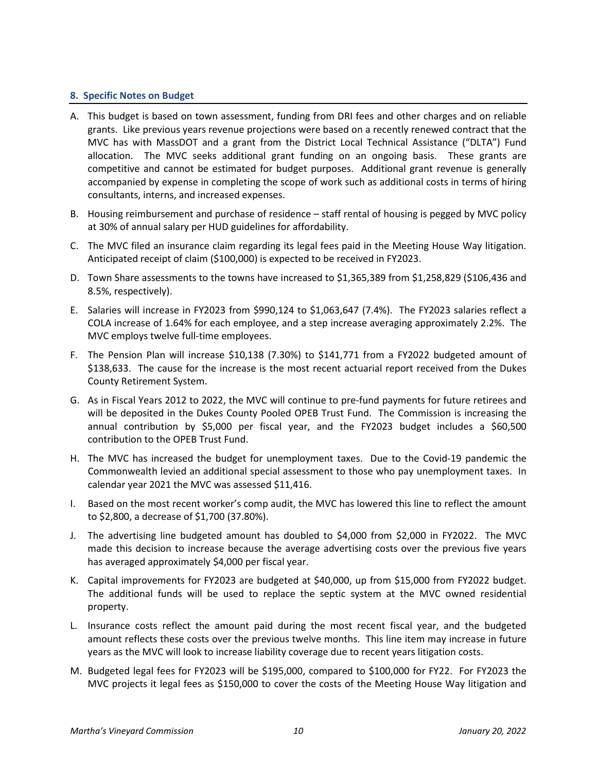#### **8. Specific Notes on Budget**

- A. This budget is based on town assessment, funding from DRI fees and other charges and on reliable grants. Like previous years revenue projections were based on a recently renewed contract that the MVC has with MassDOT and a grant from the District Local Technical Assistance ("DLTA") Fund allocation. The MVC seeks additional grant funding on an ongoing basis. These grants are competitive and cannot be estimated for budget purposes. Additional grant revenue is generally accompanied by expense in completing the scope of work such as additional costs in terms of hiring consultants, interns, and increased expenses.
- B. Housing reimbursement and purchase of residence staff rental of housing is pegged by MVC policy at 30% of annual salary per HUD guidelines for affordability.
- C. The MVC filed an insurance claim regarding its legal fees paid in the Meeting House Way litigation. Anticipated receipt of claim (\$100,000) is expected to be received in FY2023.
- D. Town Share assessments to the towns have increased to \$1,365,389 from \$1,258,829 (\$106,436 and 8.5%, respectively).
- E. Salaries will increase in FY2023 from \$990,124 to \$1,063,647 (7.4%). The FY2023 salaries reflect a COLA increase of 1.64% for each employee, and a step increase averaging approximately 2.2%. The MVC employs twelve full-time employees.
- F. The Pension Plan will increase \$10,138 (7.30%) to \$141,771 from a FY2022 budgeted amount of \$138,633. The cause for the increase is the most recent actuarial report received from the Dukes County Retirement System.
- G. As in Fiscal Years 2012 to 2022, the MVC will continue to pre-fund payments for future retirees and will be deposited in the Dukes County Pooled OPEB Trust Fund. The Commission is increasing the annual contribution by \$5,000 per fiscal year, and the FY2023 budget includes a \$60,500 contribution to the OPEB Trust Fund.
- H. The MVC has increased the budget for unemployment taxes. Due to the Covid-19 pandemic the Commonwealth levied an additional special assessment to those who pay unemployment taxes. In calendar year 2021 the MVC was assessed \$11,416.
- I. Based on the most recent worker's comp audit, the MVC has lowered this line to reflect the amount to \$2,800, a decrease of \$1,700 (37.80%).
- J. The advertising line budgeted amount has doubled to \$4,000 from \$2,000 in FY2022. The MVC made this decision to increase because the average advertising costs over the previous five years has averaged approximately \$4,000 per fiscal year.
- K. Capital improvements for FY2023 are budgeted at \$40,000, up from \$15,000 from FY2022 budget. The additional funds will be used to replace the septic system at the MVC owned residential property.
- L. Insurance costs reflect the amount paid during the most recent fiscal year, and the budgeted amount reflects these costs over the previous twelve months. This line item may increase in future years as the MVC will look to increase liability coverage due to recent years litigation costs.
- M. Budgeted legal fees for FY2023 will be \$195,000, compared to \$100,000 for FY22. For FY2023 the MVC projects it legal fees as \$150,000 to cover the costs of the Meeting House Way litigation and